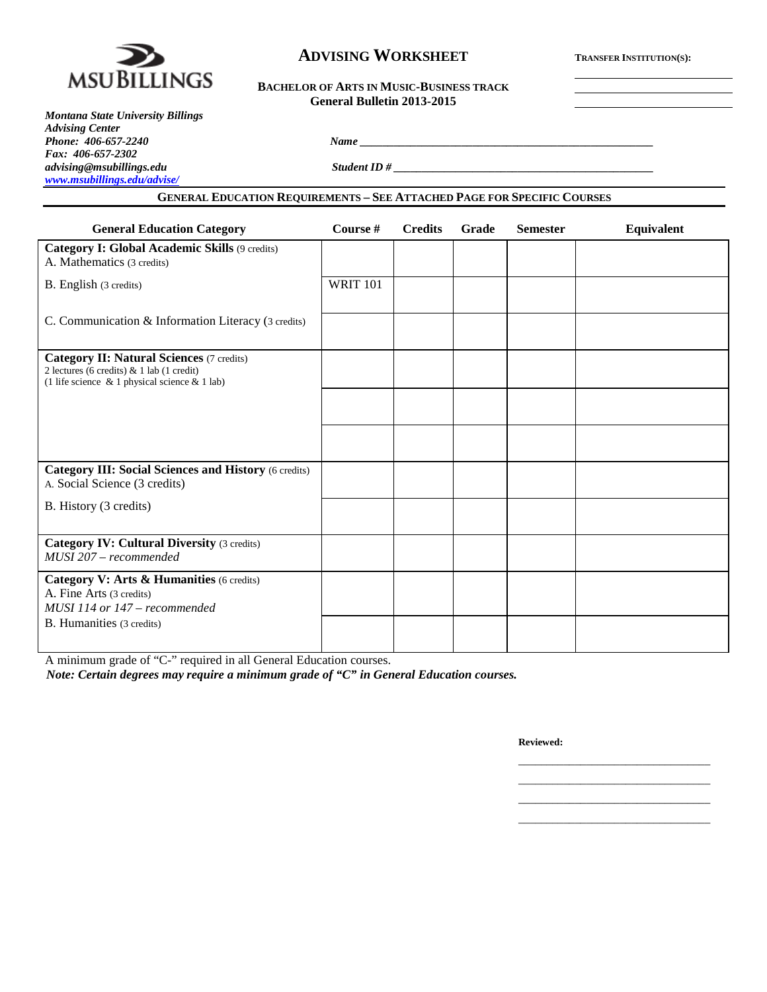

# **ADVISING WORKSHEET TRANSFER INSTITUTION(S):**

| <b>BACHELOR OF ARTS IN MUSIC-BUSINESS TRACK</b> |
|-------------------------------------------------|
| General Bulletin 2013-2015                      |

| <b>Montana State University Billings</b> |  |
|------------------------------------------|--|
| <b>Advising Center</b>                   |  |
| Phone: 406-657-2240                      |  |
| Fax: 406-657-2302                        |  |
| advising@msubillings.edu                 |  |
| www.msubillings.edu/advise/              |  |

*Student ID # \_\_\_\_\_\_\_\_\_\_\_\_\_\_\_\_\_\_\_\_\_\_\_\_\_\_\_\_\_\_\_\_\_* 

# **GENERAL EDUCATION REQUIREMENTS – SEE ATTACHED PAGE FOR SPECIFIC COURSES**

*Phone: 406-657-2240 Name \_\_\_\_\_\_\_\_\_\_\_\_\_\_\_\_\_\_\_\_\_\_\_\_\_\_\_\_\_\_\_\_\_\_\_\_\_\_\_\_\_\_\_\_\_\_\_\_\_\_\_\_*

| <b>General Education Category</b>                                                                                                                      | Course #        | <b>Credits</b> | Grade | <b>Semester</b> | Equivalent |
|--------------------------------------------------------------------------------------------------------------------------------------------------------|-----------------|----------------|-------|-----------------|------------|
| Category I: Global Academic Skills (9 credits)<br>A. Mathematics (3 credits)                                                                           |                 |                |       |                 |            |
| <b>B.</b> English (3 credits)                                                                                                                          | <b>WRIT 101</b> |                |       |                 |            |
| C. Communication & Information Literacy (3 credits)                                                                                                    |                 |                |       |                 |            |
| <b>Category II: Natural Sciences (7 credits)</b><br>2 lectures (6 credits) $& 1$ lab (1 credit)<br>(1 life science $\&$ 1 physical science $\&$ 1 lab) |                 |                |       |                 |            |
|                                                                                                                                                        |                 |                |       |                 |            |
|                                                                                                                                                        |                 |                |       |                 |            |
| <b>Category III: Social Sciences and History (6 credits)</b><br>A. Social Science (3 credits)                                                          |                 |                |       |                 |            |
| B. History (3 credits)                                                                                                                                 |                 |                |       |                 |            |
| <b>Category IV: Cultural Diversity (3 credits)</b><br>MUSI 207 - recommended                                                                           |                 |                |       |                 |            |
| Category V: Arts & Humanities (6 credits)<br>A. Fine Arts (3 credits)<br>MUSI 114 or 147 – recommended                                                 |                 |                |       |                 |            |
| <b>B.</b> Humanities (3 credits)                                                                                                                       |                 |                |       |                 |            |

A minimum grade of "C-" required in all General Education courses.

*Note: Certain degrees may require a minimum grade of "C" in General Education courses.*

**Reviewed:**

\_\_\_\_\_\_\_\_\_\_\_\_\_\_\_\_\_\_\_\_\_\_\_\_\_\_\_\_\_\_\_\_\_\_ \_\_\_\_\_\_\_\_\_\_\_\_\_\_\_\_\_\_\_\_\_\_\_\_\_\_\_\_\_\_\_\_\_\_ \_\_\_\_\_\_\_\_\_\_\_\_\_\_\_\_\_\_\_\_\_\_\_\_\_\_\_\_\_\_\_\_\_\_ \_\_\_\_\_\_\_\_\_\_\_\_\_\_\_\_\_\_\_\_\_\_\_\_\_\_\_\_\_\_\_\_\_\_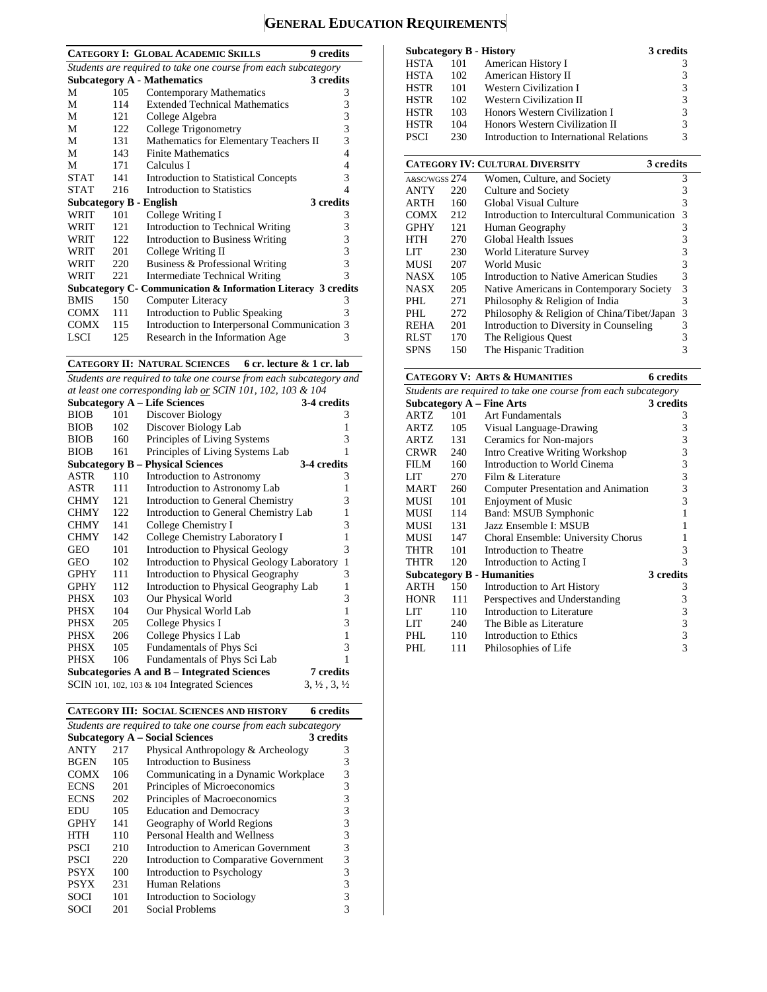# **GENERAL EDUCATION REQUIREMENTS**

|             |                                                                | <b>CATEGORY I: GLOBAL ACADEMIC SKILLS</b><br><b>9</b> credits |   |  |  |  |  |  |
|-------------|----------------------------------------------------------------|---------------------------------------------------------------|---|--|--|--|--|--|
|             | Students are required to take one course from each subcategory |                                                               |   |  |  |  |  |  |
|             |                                                                | <b>Subcategory A - Mathematics</b><br>3 credits               |   |  |  |  |  |  |
| M           | 105                                                            | Contemporary Mathematics                                      | 3 |  |  |  |  |  |
| М           | 114                                                            | <b>Extended Technical Mathematics</b>                         | 3 |  |  |  |  |  |
| М           | 121                                                            | College Algebra                                               | 3 |  |  |  |  |  |
| М           | 122                                                            | College Trigonometry                                          | 3 |  |  |  |  |  |
| М           | 131                                                            | Mathematics for Elementary Teachers II                        | 3 |  |  |  |  |  |
| М           | 143                                                            | <b>Finite Mathematics</b>                                     | 4 |  |  |  |  |  |
| М           | 171                                                            | Calculus I                                                    | 4 |  |  |  |  |  |
| <b>STAT</b> | 141                                                            | <b>Introduction to Statistical Concepts</b>                   | 3 |  |  |  |  |  |
| <b>STAT</b> | 216                                                            | Introduction to Statistics                                    | 4 |  |  |  |  |  |
|             |                                                                | 3 credits<br><b>Subcategory B - English</b>                   |   |  |  |  |  |  |
| <b>WRIT</b> | 101                                                            | College Writing I                                             | 3 |  |  |  |  |  |
| WRIT        | 121                                                            | Introduction to Technical Writing                             | 3 |  |  |  |  |  |
| <b>WRIT</b> | $122 -$                                                        | Introduction to Business Writing                              | 3 |  |  |  |  |  |
| WRIT        | 201                                                            | College Writing II                                            | 3 |  |  |  |  |  |
| WRIT        | 220                                                            | Business & Professional Writing                               | 3 |  |  |  |  |  |
| WRIT        | 221                                                            | <b>Intermediate Technical Writing</b>                         | 3 |  |  |  |  |  |
|             |                                                                | Subcategory C- Communication & Information Literacy 3 credits |   |  |  |  |  |  |
| <b>BMIS</b> | 150                                                            | <b>Computer Literacy</b>                                      | 3 |  |  |  |  |  |
| <b>COMX</b> | 111                                                            | Introduction to Public Speaking                               | 3 |  |  |  |  |  |
| <b>COMX</b> | 115                                                            | Introduction to Interpersonal Communication 3                 |   |  |  |  |  |  |
| LSCI        | 125                                                            | Research in the Information Age                               | 3 |  |  |  |  |  |

**CATEGORY II: NATURAL SCIENCES 6 cr. lecture & 1 cr. lab**

*Students are required to take one course from each subcategory and at least one corresponding lab or SCIN 101, 102, 103 & 104*

|             |     | <b>Subcategory A – Life Sciences</b>                                                           | 3-4 credits                                   |
|-------------|-----|------------------------------------------------------------------------------------------------|-----------------------------------------------|
| <b>BIOB</b> | 101 | Discover Biology                                                                               | 3                                             |
| <b>BIOB</b> | 102 | Discover Biology Lab                                                                           | 1                                             |
| <b>BIOB</b> | 160 | Principles of Living Systems                                                                   | 3                                             |
| <b>BIOB</b> | 161 | Principles of Living Systems Lab                                                               | 1                                             |
|             |     | <b>Subcategory B – Physical Sciences</b>                                                       | 3-4 credits                                   |
| ASTR        | 110 | Introduction to Astronomy                                                                      | 3                                             |
| ASTR        | 111 | Introduction to Astronomy Lab                                                                  | 1                                             |
| <b>CHMY</b> | 121 | Introduction to General Chemistry                                                              | 3                                             |
| <b>CHMY</b> | 122 | Introduction to General Chemistry Lab                                                          | 1                                             |
| <b>CHMY</b> | 141 | College Chemistry I                                                                            | 3                                             |
| <b>CHMY</b> | 142 | College Chemistry Laboratory I                                                                 | 1                                             |
| GEO         | 101 | <b>Introduction to Physical Geology</b>                                                        | 3                                             |
| GEO         | 102 | Introduction to Physical Geology Laboratory                                                    | $\mathbf{1}$                                  |
| <b>GPHY</b> | 111 | Introduction to Physical Geography                                                             | 3                                             |
| <b>GPHY</b> | 112 | Introduction to Physical Geography Lab                                                         | 1                                             |
| <b>PHSX</b> | 103 | Our Physical World                                                                             | 3                                             |
| PHSX        | 104 | Our Physical World Lab                                                                         | $\mathbf{1}$                                  |
| PHSX        | 205 | College Physics I                                                                              | 3                                             |
| PHSX        | 206 | College Physics I Lab                                                                          | $\mathbf{1}$                                  |
| PHSX        | 105 | Fundamentals of Phys Sci                                                                       | 3                                             |
| PHSX        | 106 | Fundamentals of Phys Sci Lab                                                                   | 1                                             |
|             |     | Subcategories A and B – Integrated Sciences<br>SCIN 101, 102, 103 $\&$ 104 Integrated Sciences | 7 credits<br>$3, \frac{1}{2}, 3, \frac{1}{2}$ |

**CATEGORY III: SOCIAL SCIENCES AND HISTORY 6 credits**

| Students are required to take one course from each subcategory |     |                                        |           |  |  |  |
|----------------------------------------------------------------|-----|----------------------------------------|-----------|--|--|--|
|                                                                |     | <b>Subcategory A – Social Sciences</b> | 3 credits |  |  |  |
| <b>ANTY</b>                                                    | 217 | Physical Anthropology & Archeology     | 3         |  |  |  |
| <b>BGEN</b>                                                    | 105 | Introduction to Business               | 3         |  |  |  |
| <b>COMX</b>                                                    | 106 | Communicating in a Dynamic Workplace   | 3         |  |  |  |
| <b>ECNS</b>                                                    | 201 | Principles of Microeconomics           | 3         |  |  |  |
| <b>ECNS</b>                                                    | 202 | Principles of Macroeconomics           | 3         |  |  |  |
| EDU                                                            | 105 | <b>Education and Democracy</b>         | 3         |  |  |  |
| <b>GPHY</b>                                                    | 141 | Geography of World Regions             | 3         |  |  |  |
| HTH                                                            | 110 | Personal Health and Wellness           | 3         |  |  |  |
| <b>PSCI</b>                                                    | 210 | Introduction to American Government    | 3         |  |  |  |
| <b>PSCI</b>                                                    | 220 | Introduction to Comparative Government | 3         |  |  |  |
| <b>PSYX</b>                                                    | 100 | Introduction to Psychology             | 3         |  |  |  |
| <b>PSYX</b>                                                    | 231 | <b>Human Relations</b>                 | 3         |  |  |  |
| SOCI                                                           | 101 | Introduction to Sociology              | 3         |  |  |  |
| SOCI                                                           | 201 | Social Problems                        |           |  |  |  |

| <b>Subcategory B - History</b> |     |                                         | 3 credits |
|--------------------------------|-----|-----------------------------------------|-----------|
| <b>HSTA</b>                    | 101 | American History I                      | 3         |
| <b>HSTA</b>                    | 102 | American History II                     | 3         |
| <b>HSTR</b>                    | 101 | Western Civilization I                  | 3         |
| <b>HSTR</b>                    | 102 | Western Civilization II                 | 3         |
| <b>HSTR</b>                    | 103 | Honors Western Civilization I           | 3         |
| <b>HSTR</b>                    | 104 | Honors Western Civilization II          | 3         |
| <b>PSCI</b>                    | 230 | Introduction to International Relations | 3         |
|                                |     |                                         |           |

|               |     | <b>CATEGORY IV: CULTURAL DIVERSITY</b><br>3 credits |   |
|---------------|-----|-----------------------------------------------------|---|
| A&SC/WGSS 274 |     | Women, Culture, and Society                         | 3 |
| <b>ANTY</b>   | 220 | Culture and Society                                 | 3 |
| <b>ARTH</b>   | 160 | Global Visual Culture                               | 3 |
| <b>COMX</b>   | 212 | Introduction to Intercultural Communication         | 3 |
| <b>GPHY</b>   | 121 | Human Geography                                     | 3 |
| HTH           | 270 | Global Health Issues                                | 3 |
| LIT           | 230 | World Literature Survey                             | 3 |
| MUSI          | 207 | World Music                                         | 3 |
| <b>NASX</b>   | 105 | Introduction to Native American Studies             | 3 |
| <b>NASX</b>   | 205 | Native Americans in Contemporary Society            | 3 |
| PHL           | 271 | Philosophy & Religion of India                      | 3 |
| PHL           | 272 | Philosophy & Religion of China/Tibet/Japan          | 3 |
| <b>REHA</b>   | 201 | Introduction to Diversity in Counseling             | 3 |
| <b>RLST</b>   | 170 | The Religious Quest                                 | 3 |
| <b>SPNS</b>   | 150 | The Hispanic Tradition                              | 3 |

#### **CATEGORY V: ARTS & HUMANITIES 6 credits**

|             | Students are required to take one course from each subcategory |                                        |           |  |  |  |  |
|-------------|----------------------------------------------------------------|----------------------------------------|-----------|--|--|--|--|
|             |                                                                | Subcategory $A$ – Fine Arts            | 3 credits |  |  |  |  |
| ARTZ        | 101                                                            | Art Fundamentals                       | 3         |  |  |  |  |
| ARTZ        | 105                                                            | Visual Language-Drawing                | 3         |  |  |  |  |
| ARTZ        | 131                                                            | Ceramics for Non-majors                | 3         |  |  |  |  |
| <b>CRWR</b> | 240                                                            | <b>Intro Creative Writing Workshop</b> | 3         |  |  |  |  |
| FILM        | 160                                                            | Introduction to World Cinema           | 3         |  |  |  |  |
| LIT         | 270                                                            | Film & Literature                      | 3         |  |  |  |  |
| <b>MART</b> | 260                                                            | Computer Presentation and Animation    | 3         |  |  |  |  |
| MUSI        | 101                                                            | <b>Enjoyment of Music</b>              | 3         |  |  |  |  |
| MUSI        | 114                                                            | Band: MSUB Symphonic                   |           |  |  |  |  |
| MUSI        | 131                                                            | Jazz Ensemble I: MSUB                  | 1         |  |  |  |  |
| MUSI        | 147                                                            | Choral Ensemble: University Chorus     |           |  |  |  |  |
| THTR        | 101                                                            | Introduction to Theatre                | 3         |  |  |  |  |
| THTR        | 120                                                            | Introduction to Acting I               | 3         |  |  |  |  |
|             |                                                                | <b>Subcategory B - Humanities</b>      | 3 credits |  |  |  |  |
| ARTH        | 150                                                            | Introduction to Art History            | 3         |  |  |  |  |
| <b>HONR</b> | 111                                                            | Perspectives and Understanding         | 3         |  |  |  |  |
| LIT         | 110                                                            | Introduction to Literature             | 3         |  |  |  |  |
| <b>LIT</b>  | 240                                                            | The Bible as Literature                | 3         |  |  |  |  |
| PHI.        | 110                                                            | Introduction to Ethics                 | 3         |  |  |  |  |
| PHL         | 111                                                            | Philosophies of Life                   | 3         |  |  |  |  |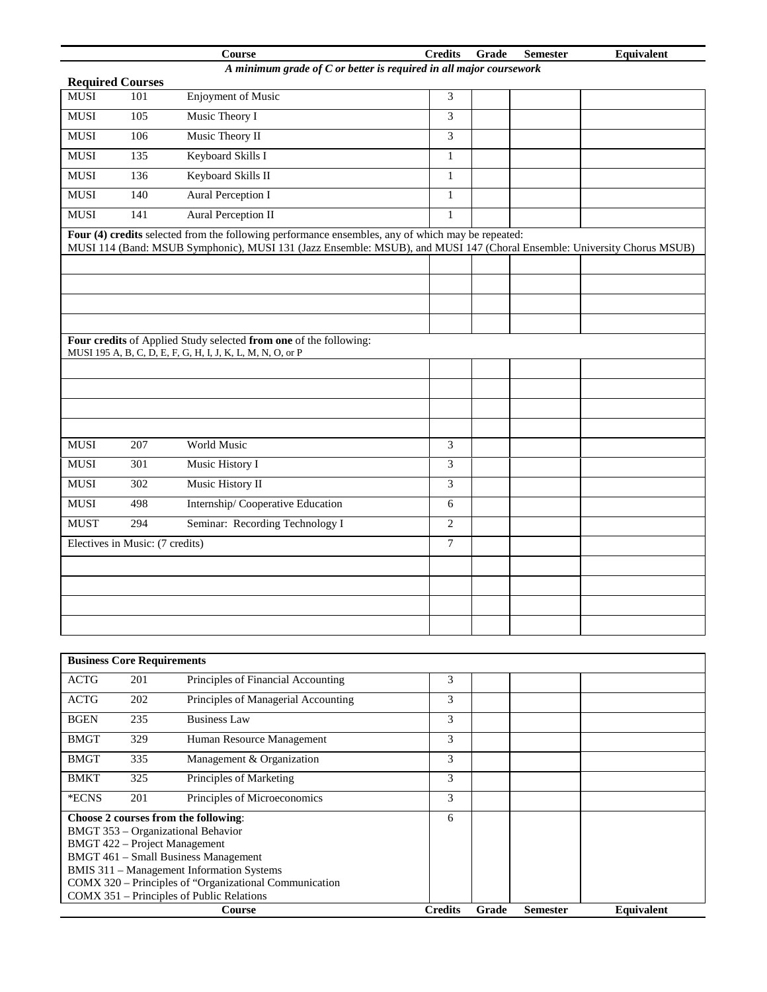|             |                                                                                               | <b>Course</b>                                                                                                                   | <b>Credits</b> | Grade | <b>Semester</b> | Equivalent |  |  |  |
|-------------|-----------------------------------------------------------------------------------------------|---------------------------------------------------------------------------------------------------------------------------------|----------------|-------|-----------------|------------|--|--|--|
|             | A minimum grade of C or better is required in all major coursework<br><b>Required Courses</b> |                                                                                                                                 |                |       |                 |            |  |  |  |
| <b>MUSI</b> | 101                                                                                           | Enjoyment of Music                                                                                                              | 3              |       |                 |            |  |  |  |
| <b>MUSI</b> | 105                                                                                           | Music Theory I                                                                                                                  | 3              |       |                 |            |  |  |  |
| <b>MUSI</b> | 106                                                                                           | Music Theory II                                                                                                                 | 3              |       |                 |            |  |  |  |
| <b>MUSI</b> | 135                                                                                           | Keyboard Skills I                                                                                                               | 1              |       |                 |            |  |  |  |
| <b>MUSI</b> | 136                                                                                           | Keyboard Skills II                                                                                                              | $\mathbf{1}$   |       |                 |            |  |  |  |
| <b>MUSI</b> | 140                                                                                           | Aural Perception I                                                                                                              | $\mathbf{1}$   |       |                 |            |  |  |  |
| <b>MUSI</b> | 141                                                                                           | <b>Aural Perception II</b>                                                                                                      | $\mathbf{1}$   |       |                 |            |  |  |  |
|             |                                                                                               | Four (4) credits selected from the following performance ensembles, any of which may be repeated:                               |                |       |                 |            |  |  |  |
|             |                                                                                               | MUSI 114 (Band: MSUB Symphonic), MUSI 131 (Jazz Ensemble: MSUB), and MUSI 147 (Choral Ensemble: University Chorus MSUB)         |                |       |                 |            |  |  |  |
|             |                                                                                               |                                                                                                                                 |                |       |                 |            |  |  |  |
|             |                                                                                               |                                                                                                                                 |                |       |                 |            |  |  |  |
|             |                                                                                               |                                                                                                                                 |                |       |                 |            |  |  |  |
|             |                                                                                               |                                                                                                                                 |                |       |                 |            |  |  |  |
|             |                                                                                               | Four credits of Applied Study selected from one of the following:<br>MUSI 195 A, B, C, D, E, F, G, H, I, J, K, L, M, N, O, or P |                |       |                 |            |  |  |  |
|             |                                                                                               |                                                                                                                                 |                |       |                 |            |  |  |  |
|             |                                                                                               |                                                                                                                                 |                |       |                 |            |  |  |  |
|             |                                                                                               |                                                                                                                                 |                |       |                 |            |  |  |  |
|             |                                                                                               |                                                                                                                                 |                |       |                 |            |  |  |  |
| <b>MUSI</b> | 207                                                                                           | World Music                                                                                                                     | 3              |       |                 |            |  |  |  |
| <b>MUSI</b> | $\overline{301}$                                                                              | Music History I                                                                                                                 | 3              |       |                 |            |  |  |  |
| <b>MUSI</b> | 302                                                                                           | Music History II                                                                                                                | 3              |       |                 |            |  |  |  |
| <b>MUSI</b> | 498                                                                                           | Internship/Cooperative Education                                                                                                | $\sqrt{6}$     |       |                 |            |  |  |  |
| <b>MUST</b> | 294                                                                                           | Seminar: Recording Technology I                                                                                                 | $\mathbf{2}$   |       |                 |            |  |  |  |
|             | Electives in Music: (7 credits)                                                               |                                                                                                                                 | $\overline{7}$ |       |                 |            |  |  |  |
|             |                                                                                               |                                                                                                                                 |                |       |                 |            |  |  |  |
|             |                                                                                               |                                                                                                                                 |                |       |                 |            |  |  |  |
|             |                                                                                               |                                                                                                                                 |                |       |                 |            |  |  |  |
|             |                                                                                               |                                                                                                                                 |                |       |                 |            |  |  |  |
|             |                                                                                               |                                                                                                                                 |                |       |                 |            |  |  |  |

| <b>Business Core Requirements</b> |                                           |                                                        |                |       |                 |                   |  |
|-----------------------------------|-------------------------------------------|--------------------------------------------------------|----------------|-------|-----------------|-------------------|--|
| <b>ACTG</b>                       | 201                                       | Principles of Financial Accounting                     | 3              |       |                 |                   |  |
| <b>ACTG</b>                       | 202                                       | Principles of Managerial Accounting                    | 3              |       |                 |                   |  |
| <b>BGEN</b>                       | 235                                       | <b>Business Law</b>                                    | 3              |       |                 |                   |  |
| <b>BMGT</b>                       | 329                                       | Human Resource Management                              | 3              |       |                 |                   |  |
| <b>BMGT</b>                       | 335                                       | Management & Organization                              | 3              |       |                 |                   |  |
| <b>BMKT</b>                       | 325                                       | Principles of Marketing                                | 3              |       |                 |                   |  |
| *ECNS                             | 201                                       | Principles of Microeconomics                           | 3              |       |                 |                   |  |
|                                   |                                           | Choose 2 courses from the following:                   | 6              |       |                 |                   |  |
|                                   |                                           | BMGT 353 – Organizational Behavior                     |                |       |                 |                   |  |
|                                   |                                           | BMGT 422 - Project Management                          |                |       |                 |                   |  |
|                                   |                                           | BMGT 461 - Small Business Management                   |                |       |                 |                   |  |
|                                   |                                           | BMIS 311 - Management Information Systems              |                |       |                 |                   |  |
|                                   |                                           | COMX 320 – Principles of "Organizational Communication |                |       |                 |                   |  |
|                                   | COMX 351 – Principles of Public Relations |                                                        |                |       |                 |                   |  |
|                                   |                                           | Course                                                 | <b>Credits</b> | Grade | <b>Semester</b> | <b>Equivalent</b> |  |